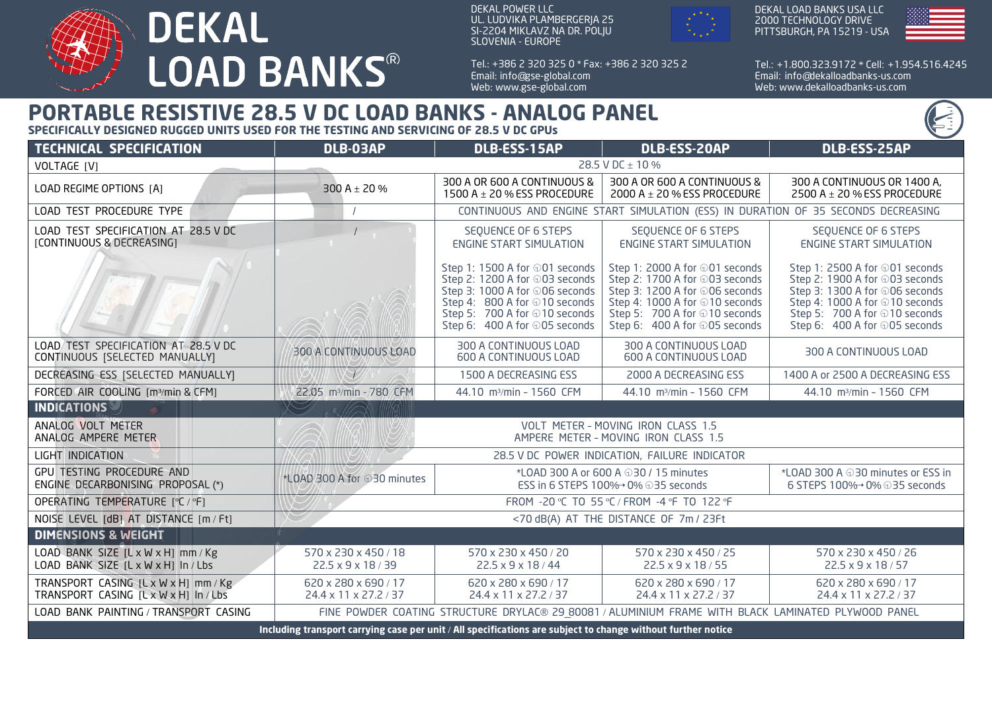

DEKAL POWER LLC UL. LUDVIKA PLAMBERGERJA 25 SI-2204 MIKLAVZ NA DR. POLJU SLOVENIA - EUROPE

Tel.: + 386 2 320 325 0 \* Fax: + 386 2 320 325 2 Email: info@gse-global.com Web: www.gse-global.com



DEKAL LOAD BANKS USA LLC 2000 TECHNOLOGY DRIVE PITTSBURGH, PA 15219 - USA



Tel.: + 1.800.323.9172 \* Cell: + 1.954.516.4245 Email: info@dekalloadbanks-us.com Web: www.dekalloadbanks-us.com

## **PORTABLE RESISTIVE 28.5 V DC LOAD BANKS - ANALOG PANEL**

**SPECIFICALLY DESIGNED RUGGED UNITS USED FOR THE TESTING AND SERVICING OF 28.5 V DC GPUs**

| <b>TECHNICAL SPECIFICATION</b>                                                                               | DLB-03AP                                                                                            | DLB-ESS-15AP                                                                                                                                                                                          | <b>DLB-ESS-20AP</b>                                                                                                                                                                                    | DLB-ESS-25AP                                                                                                                                                                                           |
|--------------------------------------------------------------------------------------------------------------|-----------------------------------------------------------------------------------------------------|-------------------------------------------------------------------------------------------------------------------------------------------------------------------------------------------------------|--------------------------------------------------------------------------------------------------------------------------------------------------------------------------------------------------------|--------------------------------------------------------------------------------------------------------------------------------------------------------------------------------------------------------|
| VOLTAGE [V]                                                                                                  | 28.5 V DC ± 10 %                                                                                    |                                                                                                                                                                                                       |                                                                                                                                                                                                        |                                                                                                                                                                                                        |
| LOAD REGIME OPTIONS [A]                                                                                      | 300 A $\pm$ 20 %                                                                                    | 300 A OR 600 A CONTINUOUS &<br>1500 A $\pm$ 20 % ESS PROCEDURE                                                                                                                                        | 300 A OR 600 A CONTINUOUS &<br>2000 A $\pm$ 20 % ESS PROCEDURE                                                                                                                                         | 300 A CONTINUOUS OR 1400 A,<br>2500 A $\pm$ 20 % ESS PROCEDURE                                                                                                                                         |
| LOAD TEST PROCEDURE TYPE                                                                                     | CONTINUOUS AND ENGINE START SIMULATION (ESS) IN DURATION OF 35 SECONDS DECREASING                   |                                                                                                                                                                                                       |                                                                                                                                                                                                        |                                                                                                                                                                                                        |
| LOAD TEST SPECIFICATION AT 28.5 V DC<br>[CONTINUOUS & DECREASING]                                            |                                                                                                     | SEQUENCE OF 6 STEPS<br><b>ENGINE START SIMULATION</b>                                                                                                                                                 | SEQUENCE OF 6 STEPS<br><b>ENGINE START SIMULATION</b>                                                                                                                                                  | SEQUENCE OF 6 STEPS<br><b>ENGINE START SIMULATION</b>                                                                                                                                                  |
|                                                                                                              |                                                                                                     | Step 1: 1500 A for ⊕01 seconds<br>Step 2: 1200 A for ⊕03 seconds<br>Step 3: 1000 A for ⊕06 seconds<br>Step 4: 800 A for ⊕10 seconds<br>Step 5: 700 A for ⊕10 seconds<br>Step 6: 400 A for ⊕05 seconds | Step 1: 2000 A for ⊕01 seconds<br>Step 2: 1700 A for ⊕03 seconds<br>Step 3: 1200 A for ⊕06 seconds<br>Step 4: 1000 A for ⊕10 seconds<br>Step 5: 700 A for ⊕10 seconds<br>Step 6: 400 A for ⊕05 seconds | Step 1: 2500 A for ⊕01 seconds<br>Step 2: 1900 A for ⊕03 seconds<br>Step 3: 1300 A for ⊕06 seconds<br>Step 4: 1000 A for ⊕10 seconds<br>Step 5: 700 A for ⊕10 seconds<br>Step 6: 400 A for ⊕05 seconds |
| LOAD TEST SPECIFICATION AT 28.5 V DC<br>CONTINUOUS [SELECTED MANUALLY]                                       | 300 A CONTINUOUS LOAD                                                                               | 300 A CONTINUOUS LOAD<br>600 A CONTINUOUS LOAD                                                                                                                                                        | 300 A CONTINUOUS LOAD<br>600 A CONTINUOUS LOAD                                                                                                                                                         | 300 A CONTINUOUS LOAD                                                                                                                                                                                  |
| DECREASING ESS [SELECTED MANUALLY]                                                                           |                                                                                                     | 1500 A DECREASING ESS                                                                                                                                                                                 | 2000 A DECREASING ESS                                                                                                                                                                                  | 1400 A or 2500 A DECREASING ESS                                                                                                                                                                        |
| FORCED AIR COOLING [m3/min & CFM]                                                                            | 22.05 m <sup>3</sup> /min - 780 CFM                                                                 | 44.10 m <sup>3</sup> /min - 1560 CFM                                                                                                                                                                  | 44.10 m <sup>3</sup> /min - 1560 CFM                                                                                                                                                                   | 44.10 m <sup>3</sup> /min - 1560 CFM                                                                                                                                                                   |
| <b>INDICATIONS</b>                                                                                           |                                                                                                     |                                                                                                                                                                                                       |                                                                                                                                                                                                        |                                                                                                                                                                                                        |
| ANALOG VOLT METER<br>ANALOG AMPERE METER                                                                     | VOLT METER - MOVING IRON CLASS 1.5<br>AMPERE METER - MOVING IRON CLASS 1.5                          |                                                                                                                                                                                                       |                                                                                                                                                                                                        |                                                                                                                                                                                                        |
| LIGHT INDICATION                                                                                             | 28.5 V DC POWER INDICATION, FAILURE INDICATOR                                                       |                                                                                                                                                                                                       |                                                                                                                                                                                                        |                                                                                                                                                                                                        |
| <b>GPU TESTING PROCEDURE AND</b><br>ENGINE DECARBONISING PROPOSAL (*)                                        | *LOAD 300 A for 030 minutes                                                                         | *LOAD 300 A or 600 A $\oplus$ 30 / 15 minutes<br>ESS in 6 STEPS 100%→ 0% ⊕35 seconds                                                                                                                  |                                                                                                                                                                                                        | *LOAD 300 A $\oplus$ 30 minutes or ESS in<br>6 STEPS 100%→ 0% ⊕35 seconds                                                                                                                              |
| OPERATING TEMPERATURE [°C / °F]                                                                              | FROM -20 °C TO 55 °C / FROM -4 °F TO 122 °F                                                         |                                                                                                                                                                                                       |                                                                                                                                                                                                        |                                                                                                                                                                                                        |
| NOISE LEVEL [dB] AT DISTANCE [m / Ft]                                                                        | <70 dB(A) AT THE DISTANCE OF 7m / 23Ft                                                              |                                                                                                                                                                                                       |                                                                                                                                                                                                        |                                                                                                                                                                                                        |
| <b>DIMENSIONS &amp; WEIGHT</b>                                                                               |                                                                                                     |                                                                                                                                                                                                       |                                                                                                                                                                                                        |                                                                                                                                                                                                        |
| LOAD BANK SIZE $[L \times W \times H]$ mm / Kg<br>LOAD BANK SIZE [L x W x H] In / Lbs                        | 570 x 230 x 450 / 18<br>22.5 x 9 x 18 / 39                                                          | 570 x 230 x 450 / 20<br>$22.5 \times 9 \times 18 / 44$                                                                                                                                                | 570 x 230 x 450 / 25<br>22.5 x 9 x 18 / 55                                                                                                                                                             | 570 x 230 x 450 / 26<br>$22.5 \times 9 \times 18 / 57$                                                                                                                                                 |
| TRANSPORT CASING [L x W x H] mm / Kg<br>TRANSPORT CASING [LxWxH] In/Lbs                                      | 620 x 280 x 690 / 17<br>24.4 x 11 x 27.2 / 37                                                       | 620 x 280 x 690 / 17<br>24.4 x 11 x 27.2 / 37                                                                                                                                                         | 620 x 280 x 690 / 17<br>24.4 x 11 x 27.2 / 37                                                                                                                                                          | 620 x 280 x 690 / 17<br>24.4 x 11 x 27.2 / 37                                                                                                                                                          |
| LOAD BANK PAINTING / TRANSPORT CASING                                                                        | FINE POWDER COATING STRUCTURE DRYLAC® 29 80081 / ALUMINIUM FRAME WITH BLACK LAMINATED PLYWOOD PANEL |                                                                                                                                                                                                       |                                                                                                                                                                                                        |                                                                                                                                                                                                        |
| Including transport carrying case per unit / All specifications are subject to change without further notice |                                                                                                     |                                                                                                                                                                                                       |                                                                                                                                                                                                        |                                                                                                                                                                                                        |